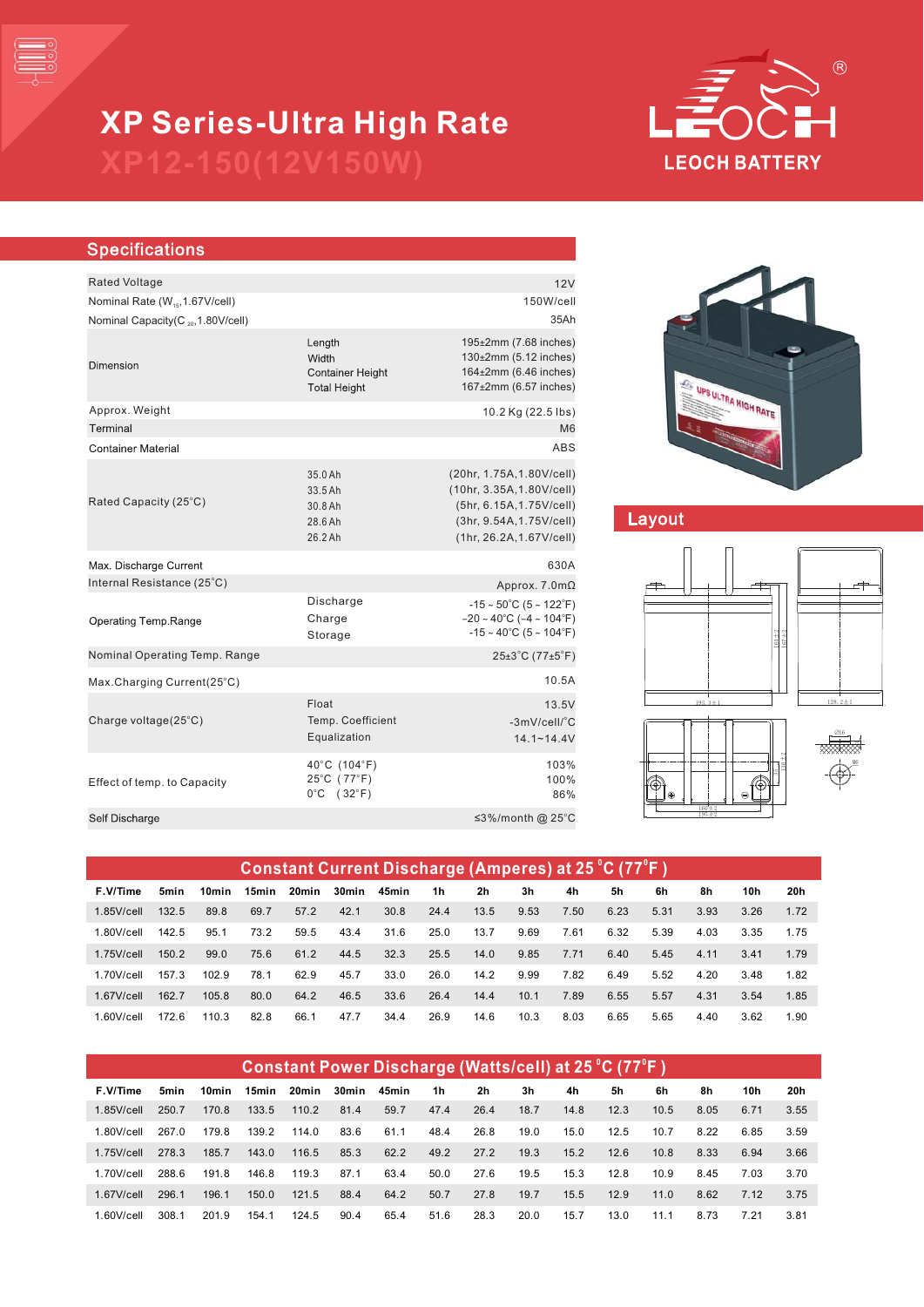

# **XP Series-Ultra High Rate**

#### **Specifications** Rated Voltage 12V Nominal Rate (W<sub>15</sub>, 1.67V/cell) 150W/cell Nominal Capacity( $C_{20}$ , 1.80V/cell) 25Ah  $195 \pm 2$ mm (7.68 inches) Length  $130<sub>±</sub>2mm$  (5.12 inches) Width Dimension **Container Height**  $164 \pm 2$ mm (6.46 inches) **Total Height**  $167<sub>\pm</sub>2mm$  (6.57 inches) 10.2 Kg (22.5 Ibs) Approx. Weight Terminal M6 **Container Material** ABS 35.0 Ah (20hr, 1.75A,1.80V/cell) (10hr, 3.35A,1.80V/cell) 33.5 Ah Rated Capacity (25°C) 30.8 Ah (5hr, 6.15A,1.75V/cell) 28.6 Ah (3hr, 9.54A,1.75V/cell) 26.2 Ah (1hr, 26.2A,1.67V/cell) 630A Max. Discharge Current Approx. 7.0mΩ Internal Resistance (25°C) Discharge  $-15 \sim 50^{\circ}$ C (5 ~ 122 $^{\circ}$ F) Charge  $-20 \times 40^{\circ}$ C ( $-4 \sim 104^{\circ}$ F) Operating Temp.Range  $-15 \sim 40^{\circ}$ C (5 ~ 104 $^{\circ}$ F) Storage Nominal Operating Temp. Range  $25 \pm 3^{\circ}$ C (77 $\pm 5^{\circ}$ F) Max.Charging Current(25°C) 10.5A Float 13.5V Temp. Coefficient Charge voltage $(25^{\circ}C)$  $-3$ mV/cell/ $^{\circ}$ C Equalization 14.1~14.4V 40°C (104°F) 103% 25°C (77°F) 100% Effect of temp. to Capacity  $0^{\circ}$ C (32 $^{\circ}$ F) 86% Self Discharge ≤3%/month @ 25°C



## Layout







| Constant Current Discharge (Amperes) at 25 °C (77°F) |       |       |       |       |       |       |      |      |      |      |      |      |      |      |      |
|------------------------------------------------------|-------|-------|-------|-------|-------|-------|------|------|------|------|------|------|------|------|------|
| F.V/Time                                             | 5min  | 10min | 15min | 20min | 30min | 45min | 1h   | 2h   | 3h   | 4h   | 5h   | 6h   | 8h   | 10h  | 20h  |
| $1.85$ V/cell                                        | 132.5 | 89.8  | 69.7  | 57.2  | 42.1  | 30.8  | 24.4 | 13.5 | 9.53 | 7.50 | 6.23 | 5.31 | 3.93 | 3.26 | 1.72 |
| $1.80$ V/cell                                        | 142.5 | 95.1  | 73.2  | 59.5  | 43.4  | 31.6  | 25.0 | 13.7 | 9.69 | 7.61 | 6.32 | 5.39 | 4.03 | 3.35 | 1.75 |
| $1.75$ V/cell                                        | 150.2 | 99.0  | 75.6  | 61.2  | 44.5  | 32.3  | 25.5 | 14.0 | 9.85 | 7.71 | 6.40 | 5.45 | 4.11 | 3.41 | 1.79 |
| 1.70V/cell                                           | 157.3 | 102.9 | 78.1  | 62.9  | 45.7  | 33.0  | 26.0 | 14.2 | 9.99 | 7.82 | 6.49 | 5.52 | 4.20 | 3.48 | 1.82 |
| $1.67$ V/cell                                        | 162.7 | 105.8 | 80.0  | 64.2  | 46.5  | 33.6  | 26.4 | 14.4 | 10.1 | 7.89 | 6.55 | 5.57 | 4.31 | 3.54 | 1.85 |
| $1.60$ V/cell                                        | 172.6 | 110.3 | 82.8  | 66.1  | 47.7  | 34.4  | 26.9 | 14.6 | 10.3 | 8.03 | 6.65 | 5.65 | 4.40 | 3.62 | 1.90 |

| Constant Power Discharge (Watts/cell) at 25 °C (77°F) |       |       |       |       |       |       |      |                |      |      |      |      |      |      |      |
|-------------------------------------------------------|-------|-------|-------|-------|-------|-------|------|----------------|------|------|------|------|------|------|------|
| F.V/Time                                              | 5min  | 10min | 15min | 20min | 30min | 45min | 1h   | 2 <sub>h</sub> | 3h   | 4h   | 5h   | 6h   | 8h   | 10h  | 20h  |
| $1.85$ V/cell                                         | 250.7 | 170.8 | 133.5 | 110.2 | 81.4  | 59.7  | 47.4 | 26.4           | 18.7 | 14.8 | 12.3 | 10.5 | 8.05 | 6.71 | 3.55 |
| $1.80$ V/cell                                         | 267.0 | 179.8 | 139.2 | 114.0 | 83.6  | 61.1  | 48.4 | 26.8           | 19.0 | 15.0 | 12.5 | 10.7 | 8.22 | 6.85 | 3.59 |
| $1.75$ V/cell                                         | 278.3 | 185.7 | 143.0 | 116.5 | 85.3  | 62.2  | 49.2 | 27.2           | 19.3 | 15.2 | 12.6 | 10.8 | 8.33 | 6.94 | 3.66 |
| $1.70$ V/cell                                         | 288.6 | 191.8 | 146.8 | 119.3 | 87.1  | 63.4  | 50.0 | 27.6           | 19.5 | 15.3 | 12.8 | 10.9 | 8.45 | 7 03 | 3.70 |
| $1.67$ V/cell                                         | 296.1 | 196.1 | 150.0 | 121.5 | 88.4  | 64.2  | 50.7 | 27.8           | 19.7 | 15.5 | 12.9 | 11.0 | 8.62 | 7.12 | 3.75 |
| $1.60$ V/cell                                         | 308.1 | 201.9 | 154.1 | 124.5 | 90.4  | 65.4  | 51.6 | 28.3           | 20.0 | 15.7 | 13.0 | 11.1 | 8.73 | 7.21 | 3.81 |